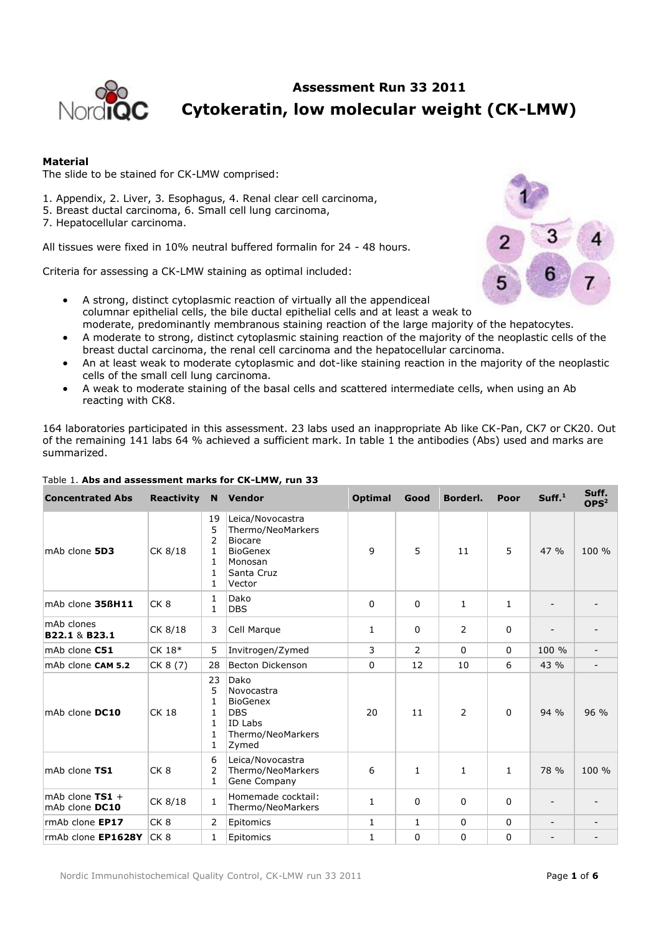

**Assessment Run 33 2011 Cytokeratin, low molecular weight (CK-LMW)**

# **Material**

The slide to be stained for CK-LMW comprised:

- 1. Appendix, 2. Liver, 3. Esophagus, 4. Renal clear cell carcinoma,
- 5. Breast ductal carcinoma, 6. Small cell lung carcinoma,
- 7. Hepatocellular carcinoma.

All tissues were fixed in 10% neutral buffered formalin for 24 - 48 hours.

Criteria for assessing a CK-LMW staining as optimal included:



- A strong, distinct cytoplasmic reaction of virtually all the appendiceal columnar epithelial cells, the bile ductal epithelial cells and at least a weak to moderate, predominantly membranous staining reaction of the large majority of the hepatocytes.
- A moderate to strong, distinct cytoplasmic staining reaction of the majority of the neoplastic cells of the breast ductal carcinoma, the renal cell carcinoma and the hepatocellular carcinoma.
- An at least weak to moderate cytoplasmic and dot-like staining reaction in the majority of the neoplastic cells of the small cell lung carcinoma.
- A weak to moderate staining of the basal cells and scattered intermediate cells, when using an Ab reacting with CK8.

164 laboratories participated in this assessment. 23 labs used an inappropriate Ab like CK-Pan, CK7 or CK20. Out of the remaining 141 labs 64 % achieved a sufficient mark. In table 1 the antibodies (Abs) used and marks are summarized.

| <b>Concentrated Abs</b>             | <b>Reactivity</b> |                                                        | N Vendor                                                                                                      | <b>Optimal</b> | Good           | Borderl.       | Poor         | Suff. <sup>1</sup> | Suff.<br>OPS <sup>2</sup> |
|-------------------------------------|-------------------|--------------------------------------------------------|---------------------------------------------------------------------------------------------------------------|----------------|----------------|----------------|--------------|--------------------|---------------------------|
| mAb clone 5D3                       | CK 8/18           | 19<br>5<br>2<br>1<br>1<br>$\mathbf{1}$<br>$\mathbf{1}$ | Leica/Novocastra<br>Thermo/NeoMarkers<br><b>Biocare</b><br><b>BioGenex</b><br>Monosan<br>Santa Cruz<br>Vector | 9              | 5              | 11             | 5            | 47 %               | 100 %                     |
| mAb clone 356H11                    | CK <sub>8</sub>   | 1<br>$\mathbf{1}$                                      | Dako<br><b>DBS</b>                                                                                            | 0              | 0              | $\mathbf{1}$   | 1            |                    |                           |
| mAb clones<br>B22.1 & B23.1         | CK 8/18           | 3                                                      | Cell Marque                                                                                                   | $\mathbf{1}$   | 0              | $\overline{2}$ | 0            |                    |                           |
| mAb clone C51                       | CK 18*            | 5                                                      | Invitrogen/Zymed                                                                                              | 3              | $\overline{2}$ | $\Omega$       | $\mathbf 0$  | 100 %              |                           |
| mAb clone CAM 5.2                   | CK 8 (7)          | 28                                                     | Becton Dickenson                                                                                              | $\Omega$       | 12             | 10             | 6            | 43 %               |                           |
| mAb clone DC10                      | <b>CK 18</b>      | 23<br>5<br>1<br>1<br>$\mathbf{1}$<br>1<br>1            | Dako<br>Novocastra<br><b>BioGenex</b><br><b>DBS</b><br>ID Labs<br>Thermo/NeoMarkers<br>Zymed                  | 20             | 11             | 2              | $\Omega$     | $94\%$             | 96 %                      |
| mAb clone TS1                       | CK <sub>8</sub>   | 6<br>2<br>$\mathbf{1}$                                 | Leica/Novocastra<br>Thermo/NeoMarkers<br>Gene Company                                                         | 6              | $\mathbf{1}$   | $\mathbf{1}$   | $\mathbf{1}$ | 78 %               | 100 %                     |
| mAb clone $TS1 +$<br>mAb clone DC10 | CK 8/18           | $\mathbf{1}$                                           | Homemade cocktail:<br>Thermo/NeoMarkers                                                                       | $\mathbf{1}$   | 0              | 0              | 0            |                    |                           |
| rmAb clone EP17                     | CK <sub>8</sub>   | $\overline{2}$                                         | Epitomics                                                                                                     | 1              | 1              | $\mathbf 0$    | $\mathbf 0$  |                    |                           |
| rmAb clone EP1628Y                  | CK <sub>8</sub>   | $\mathbf{1}$                                           | Epitomics                                                                                                     | $\mathbf{1}$   | 0              | 0              | 0            |                    |                           |

## Table 1. **Abs and assessment marks for CK-LMW, run 33**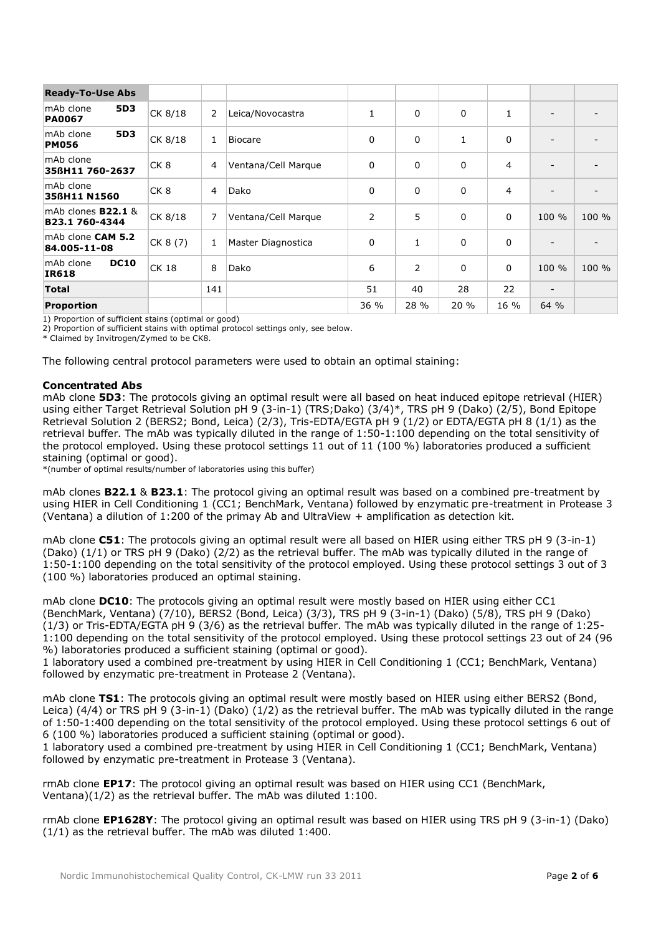| <b>Ready-To-Use Abs</b>                     |                 |                |                     |              |                |              |              |                          |       |
|---------------------------------------------|-----------------|----------------|---------------------|--------------|----------------|--------------|--------------|--------------------------|-------|
| <b>5D3</b><br>mAb clone<br><b>PA0067</b>    | CK 8/18         | 2              | Leica/Novocastra    | $\mathbf{1}$ | 0              | 0            | $\mathbf{1}$ |                          |       |
| 5D3<br>mAb clone<br><b>PM056</b>            | CK 8/18         | 1              | <b>Biocare</b>      | 0            | 0              | $\mathbf{1}$ | 0            |                          |       |
| mAb clone<br>356H11 760-2637                | CK <sub>8</sub> | 4              | Ventana/Cell Marque | 0            | 0              | 0            | 4            |                          |       |
| mAb clone<br>356H11 N1560                   | CK <sub>8</sub> | $\overline{4}$ | Dako                | 0            | 0              | 0            | 4            | $\overline{\phantom{a}}$ |       |
| mAb clones <b>B22.1</b> &<br>B23.1 760-4344 | CK 8/18         | 7              | Ventana/Cell Marque | 2            | 5              | 0            | 0            | 100 %                    | 100 % |
| mAb clone CAM 5.2<br>84.005-11-08           | CK 8 (7)        | 1              | Master Diagnostica  | 0            | 1              | 0            | 0            | $\overline{\phantom{a}}$ |       |
| <b>DC10</b><br>mAb clone<br><b>IR618</b>    | $CK$ 18         | 8              | Dako                | 6            | $\overline{2}$ | 0            | 0            | 100 %                    | 100 % |
| <b>Total</b>                                |                 | 141            |                     | 51           | 40             | 28           | 22           | $\overline{\phantom{a}}$ |       |
| <b>Proportion</b>                           |                 |                |                     | 36 %         | 28 %           | 20%          | 16 %         | 64 %                     |       |

1) Proportion of sufficient stains (optimal or good)

2) Proportion of sufficient stains with optimal protocol settings only, see below.

\* Claimed by Invitrogen/Zymed to be CK8.

The following central protocol parameters were used to obtain an optimal staining:

# **Concentrated Abs**

mAb clone **5D3**: The protocols giving an optimal result were all based on heat induced epitope retrieval (HIER) using either Target Retrieval Solution pH 9 (3-in-1) (TRS;Dako) (3/4)\*, TRS pH 9 (Dako) (2/5), Bond Epitope Retrieval Solution 2 (BERS2; Bond, Leica) (2/3), Tris-EDTA/EGTA pH 9 (1/2) or EDTA/EGTA pH 8 (1/1) as the retrieval buffer. The mAb was typically diluted in the range of 1:50-1:100 depending on the total sensitivity of the protocol employed. Using these protocol settings 11 out of 11 (100 %) laboratories produced a sufficient staining (optimal or good).

\*(number of optimal results/number of laboratories using this buffer)

mAb clones **B22.1** & **B23.1**: The protocol giving an optimal result was based on a combined pre-treatment by using HIER in Cell Conditioning 1 (CC1; BenchMark, Ventana) followed by enzymatic pre-treatment in Protease 3 (Ventana) a dilution of 1:200 of the primay Ab and UltraView + amplification as detection kit.

mAb clone **C51**: The protocols giving an optimal result were all based on HIER using either TRS pH 9 (3-in-1) (Dako) (1/1) or TRS pH 9 (Dako) (2/2) as the retrieval buffer. The mAb was typically diluted in the range of 1:50-1:100 depending on the total sensitivity of the protocol employed. Using these protocol settings 3 out of 3 (100 %) laboratories produced an optimal staining.

mAb clone **DC10**: The protocols giving an optimal result were mostly based on HIER using either CC1 (BenchMark, Ventana) (7/10), BERS2 (Bond, Leica) (3/3), TRS pH 9 (3-in-1) (Dako) (5/8), TRS pH 9 (Dako) (1/3) or Tris-EDTA/EGTA pH 9 (3/6) as the retrieval buffer. The mAb was typically diluted in the range of 1:25- 1:100 depending on the total sensitivity of the protocol employed. Using these protocol settings 23 out of 24 (96 %) laboratories produced a sufficient staining (optimal or good).

1 laboratory used a combined pre-treatment by using HIER in Cell Conditioning 1 (CC1; BenchMark, Ventana) followed by enzymatic pre-treatment in Protease 2 (Ventana).

mAb clone **TS1**: The protocols giving an optimal result were mostly based on HIER using either BERS2 (Bond, Leica) (4/4) or TRS pH 9 (3-in-1) (Dako) (1/2) as the retrieval buffer. The mAb was typically diluted in the range of 1:50-1:400 depending on the total sensitivity of the protocol employed. Using these protocol settings 6 out of 6 (100 %) laboratories produced a sufficient staining (optimal or good).

1 laboratory used a combined pre-treatment by using HIER in Cell Conditioning 1 (CC1; BenchMark, Ventana) followed by enzymatic pre-treatment in Protease 3 (Ventana).

rmAb clone **EP17**: The protocol giving an optimal result was based on HIER using CC1 (BenchMark, Ventana)(1/2) as the retrieval buffer. The mAb was diluted 1:100.

rmAb clone **EP1628Y**: The protocol giving an optimal result was based on HIER using TRS pH 9 (3-in-1) (Dako) (1/1) as the retrieval buffer. The mAb was diluted 1:400.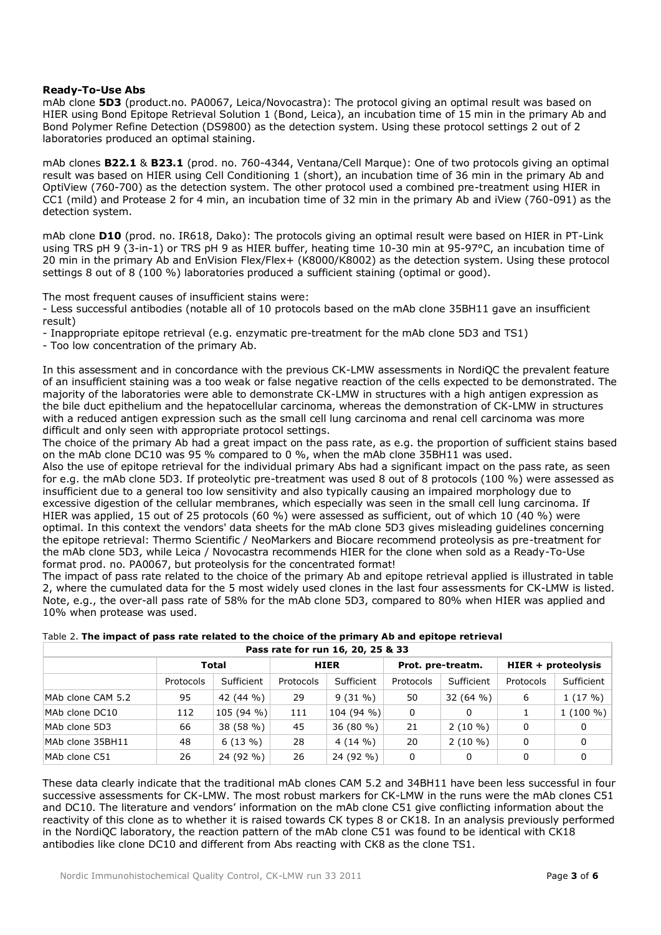## **Ready-To-Use Abs**

mAb clone **5D3** (product.no. PA0067, Leica/Novocastra): The protocol giving an optimal result was based on HIER using Bond Epitope Retrieval Solution 1 (Bond, Leica), an incubation time of 15 min in the primary Ab and Bond Polymer Refine Detection (DS9800) as the detection system. Using these protocol settings 2 out of 2 laboratories produced an optimal staining.

mAb clones **B22.1** & **B23.1** (prod. no. 760-4344, Ventana/Cell Marque): One of two protocols giving an optimal result was based on HIER using Cell Conditioning 1 (short), an incubation time of 36 min in the primary Ab and OptiView (760-700) as the detection system. The other protocol used a combined pre-treatment using HIER in CC1 (mild) and Protease 2 for 4 min, an incubation time of 32 min in the primary Ab and iView (760-091) as the detection system.

mAb clone **D10** (prod. no. IR618, Dako): The protocols giving an optimal result were based on HIER in PT-Link using TRS pH 9 (3-in-1) or TRS pH 9 as HIER buffer, heating time 10-30 min at 95-97°C, an incubation time of 20 min in the primary Ab and EnVision Flex/Flex+ (K8000/K8002) as the detection system. Using these protocol settings 8 out of 8 (100 %) laboratories produced a sufficient staining (optimal or good).

The most frequent causes of insufficient stains were:

- Less successful antibodies (notable all of 10 protocols based on the mAb clone 35BH11 gave an insufficient result)

- Inappropriate epitope retrieval (e.g. enzymatic pre-treatment for the mAb clone 5D3 and TS1)

- Too low concentration of the primary Ab.

In this assessment and in concordance with the previous CK-LMW assessments in NordiQC the prevalent feature of an insufficient staining was a too weak or false negative reaction of the cells expected to be demonstrated. The majority of the laboratories were able to demonstrate CK-LMW in structures with a high antigen expression as the bile duct epithelium and the hepatocellular carcinoma, whereas the demonstration of CK-LMW in structures with a reduced antigen expression such as the small cell lung carcinoma and renal cell carcinoma was more difficult and only seen with appropriate protocol settings.

The choice of the primary Ab had a great impact on the pass rate, as e.g. the proportion of sufficient stains based on the mAb clone DC10 was 95 % compared to 0 %, when the mAb clone 35BH11 was used.

Also the use of epitope retrieval for the individual primary Abs had a significant impact on the pass rate, as seen for e.g. the mAb clone 5D3. If proteolytic pre-treatment was used 8 out of 8 protocols (100 %) were assessed as insufficient due to a general too low sensitivity and also typically causing an impaired morphology due to excessive digestion of the cellular membranes, which especially was seen in the small cell lung carcinoma. If HIER was applied, 15 out of 25 protocols (60 %) were assessed as sufficient, out of which 10 (40 %) were optimal. In this context the vendors' data sheets for the mAb clone 5D3 gives misleading guidelines concerning the epitope retrieval: Thermo Scientific / NeoMarkers and Biocare recommend proteolysis as pre-treatment for the mAb clone 5D3, while Leica / Novocastra recommends HIER for the clone when sold as a Ready-To-Use format prod. no. PA0067, but proteolysis for the concentrated format!

The impact of pass rate related to the choice of the primary Ab and epitope retrieval applied is illustrated in table 2, where the cumulated data for the 5 most widely used clones in the last four assessments for CK-LMW is listed. Note, e.g., the over-all pass rate of 58% for the mAb clone 5D3, compared to 80% when HIER was applied and 10% when protease was used.

|                   |           |              |           | $F$ assumed to the turn to, 20, 25 & 33 |             |                   |           |                    |
|-------------------|-----------|--------------|-----------|-----------------------------------------|-------------|-------------------|-----------|--------------------|
|                   |           | <b>Total</b> |           | <b>HIER</b>                             |             | Prot. pre-treatm. |           | HIER + proteolysis |
|                   | Protocols | Sufficient   | Protocols | Sufficient                              | Protocols   | Sufficient        | Protocols | Sufficient         |
| MAb clone CAM 5.2 | 95        | 42 (44 %)    | 29        | $9(31\%)$                               | 50          | 32 (64 %)         | 6         | 1(17%)             |
| MAb clone DC10    | 112       | 105 (94 %)   | 111       | 104 (94 %)                              | $\mathbf 0$ | 0                 |           | $1(100\%)$         |
| MAb clone 5D3     | 66        | 38 (58 %)    | 45        | $36(80\%)$                              | 21          | $2(10\% )$        | 0         |                    |
| MAb clone 35BH11  | 48        | $6(13\%)$    | 28        | $4(14\% )$                              | 20          | $2(10\% )$        | 0         |                    |
| MAb clone C51     | 26        | 24 (92 %)    | 26        | 24 (92 %)                               | 0           | 0                 | 0         |                    |

Table 2. **The impact of pass rate related to the choice of the primary Ab and epitope retrieval Pass rate for run 16, 20, 25 & 33**

These data clearly indicate that the traditional mAb clones CAM 5.2 and 34BH11 have been less successful in four successive assessments for CK-LMW. The most robust markers for CK-LMW in the runs were the mAb clones C51 and DC10. The literature and vendors' information on the mAb clone C51 give conflicting information about the reactivity of this clone as to whether it is raised towards CK types 8 or CK18. In an analysis previously performed in the NordiQC laboratory, the reaction pattern of the mAb clone C51 was found to be identical with CK18 antibodies like clone DC10 and different from Abs reacting with CK8 as the clone TS1.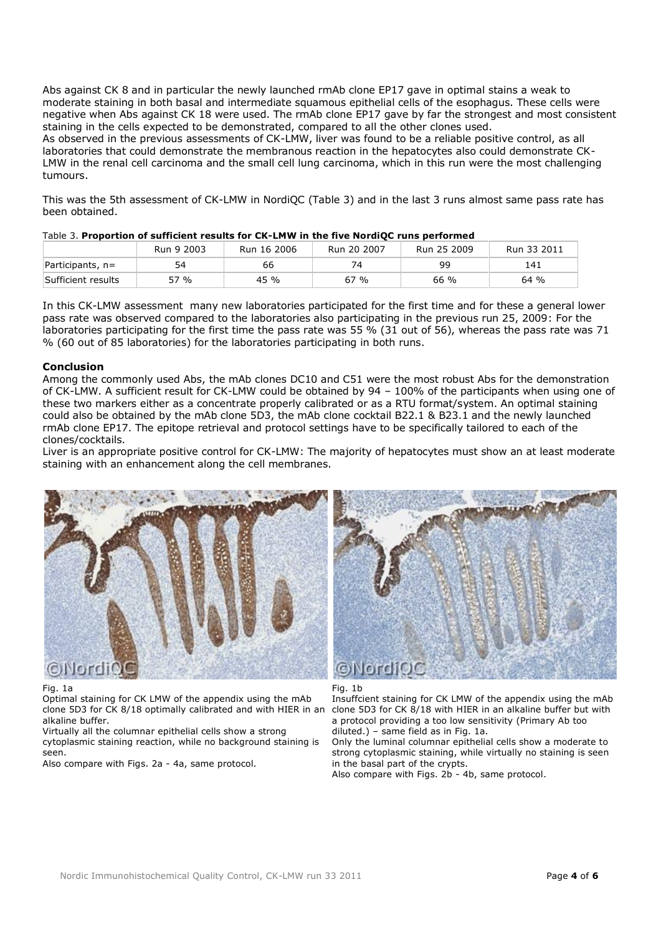Abs against CK 8 and in particular the newly launched rmAb clone EP17 gave in optimal stains a weak to moderate staining in both basal and intermediate squamous epithelial cells of the esophagus. These cells were negative when Abs against CK 18 were used. The rmAb clone EP17 gave by far the strongest and most consistent staining in the cells expected to be demonstrated, compared to all the other clones used. As observed in the previous assessments of CK-LMW, liver was found to be a reliable positive control, as all laboratories that could demonstrate the membranous reaction in the hepatocytes also could demonstrate CK-LMW in the renal cell carcinoma and the small cell lung carcinoma, which in this run were the most challenging tumours.

This was the 5th assessment of CK-LMW in NordiQC (Table 3) and in the last 3 runs almost same pass rate has been obtained.

| Table 5. I Topol Golf of Sufficient results for the EPITY III the five Norulo Funs performed |            |             |             |             |             |
|----------------------------------------------------------------------------------------------|------------|-------------|-------------|-------------|-------------|
|                                                                                              | Run 9 2003 | Run 16 2006 | Run 20 2007 | Run 25 2009 | Run 33 2011 |
| $Participants, n=$                                                                           | 54         | 66          | 74          | qq          | 141         |
| Sufficient results                                                                           | 57 %       | 45 %        | 67 %        | 66 %        | 64%         |

|--|

In this CK-LMW assessment many new laboratories participated for the first time and for these a general lower pass rate was observed compared to the laboratories also participating in the previous run 25, 2009: For the laboratories participating for the first time the pass rate was 55 % (31 out of 56), whereas the pass rate was 71 % (60 out of 85 laboratories) for the laboratories participating in both runs.

# **Conclusion**

Among the commonly used Abs, the mAb clones DC10 and C51 were the most robust Abs for the demonstration of CK-LMW. A sufficient result for CK-LMW could be obtained by 94 – 100% of the participants when using one of these two markers either as a concentrate properly calibrated or as a RTU format/system. An optimal staining could also be obtained by the mAb clone 5D3, the mAb clone cocktail B22.1 & B23.1 and the newly launched rmAb clone EP17. The epitope retrieval and protocol settings have to be specifically tailored to each of the clones/cocktails.

Liver is an appropriate positive control for CK-LMW: The majority of hepatocytes must show an at least moderate staining with an enhancement along the cell membranes.



### Fig. 1a

Optimal staining for CK LMW of the appendix using the mAb clone 5D3 for CK 8/18 optimally calibrated and with HIER in an alkaline buffer.

Virtually all the columnar epithelial cells show a strong cytoplasmic staining reaction, while no background staining is seen.

Also compare with Figs. 2a - 4a, same protocol.



### Fig. 1b

Insuffcient staining for CK LMW of the appendix using the mAb clone 5D3 for CK 8/18 with HIER in an alkaline buffer but with a protocol providing a too low sensitivity (Primary Ab too diluted.) – same field as in Fig. 1a.

Only the luminal columnar epithelial cells show a moderate to strong cytoplasmic staining, while virtually no staining is seen in the basal part of the crypts.

Also compare with Figs. 2b - 4b, same protocol.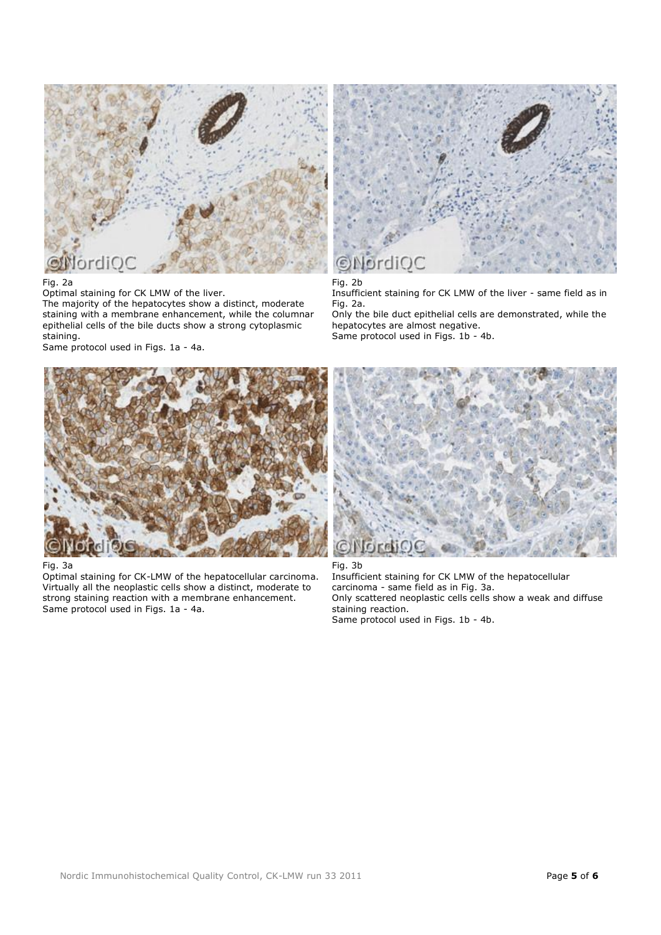

## Fig. 2a

Optimal staining for CK LMW of the liver. The majority of the hepatocytes show a distinct, moderate staining with a membrane enhancement, while the columnar epithelial cells of the bile ducts show a strong cytoplasmic staining.

Same protocol used in Figs. 1a - 4a.



## Fig. 2b

Insufficient staining for CK LMW of the liver - same field as in Fig. 2a.

Only the bile duct epithelial cells are demonstrated, while the hepatocytes are almost negative. Same protocol used in Figs. 1b - 4b.



### Fig. 3a

Optimal staining for CK-LMW of the hepatocellular carcinoma. Virtually all the neoplastic cells show a distinct, moderate to strong staining reaction with a membrane enhancement. Same protocol used in Figs. 1a - 4a.



Fig. 3b Insufficient staining for CK LMW of the hepatocellular carcinoma - same field as in Fig. 3a. Only scattered neoplastic cells cells show a weak and diffuse staining reaction. Same protocol used in Figs. 1b - 4b.